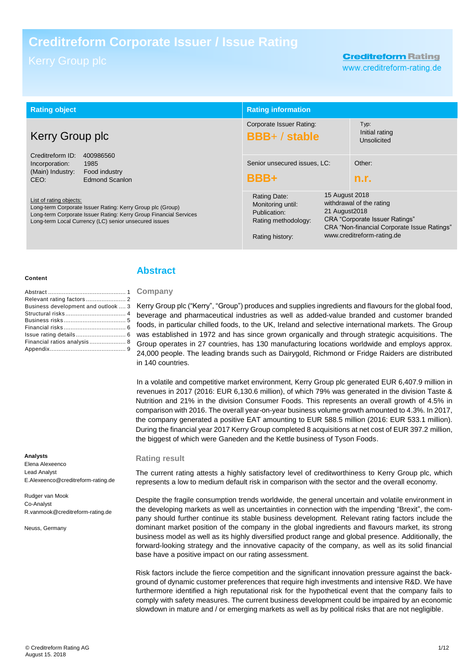# **Creditreform Corporate Issuer / Issue Rating**

# **Creditreform Rating**

www.creditreform-rating.de

| <b>Rating object</b>                                                                                                                                                                                                                                                                                                                                             |  | <b>Rating information</b>                                                                   |                                                                                                                                                                                           |                                       |
|------------------------------------------------------------------------------------------------------------------------------------------------------------------------------------------------------------------------------------------------------------------------------------------------------------------------------------------------------------------|--|---------------------------------------------------------------------------------------------|-------------------------------------------------------------------------------------------------------------------------------------------------------------------------------------------|---------------------------------------|
| Kerry Group plc<br>Creditreform ID:<br>400986560<br>1985<br>Incorporation:<br>(Main) Industry:<br>Food industry<br>Edmond Scanlon<br>CEO:<br>List of rating objects:<br>Long-term Corporate Issuer Rating: Kerry Group plc (Group)<br>Long-term Corporate Issuer Rating: Kerry Group Financial Services<br>Long-term Local Currency (LC) senior unsecured issues |  | Corporate Issuer Rating:<br><b>BBB+/stable</b>                                              |                                                                                                                                                                                           | Typ:<br>Initial rating<br>Unsolicited |
|                                                                                                                                                                                                                                                                                                                                                                  |  | Senior unsecured issues, LC:<br>BBB+                                                        |                                                                                                                                                                                           | Other:<br>n.r.                        |
|                                                                                                                                                                                                                                                                                                                                                                  |  | Rating Date:<br>Monitoring until:<br>Publication:<br>Rating methodology:<br>Rating history: | 15 August 2018<br>withdrawal of the rating<br>21 August 2018<br><b>CRA</b> "Corporate Issuer Ratings"<br><b>CRA "Non-financial Corporate Issue Ratings"</b><br>www.creditreform-rating.de |                                       |

#### **Content**

| Business development and outlook  3 |
|-------------------------------------|
|                                     |
|                                     |
|                                     |
|                                     |
| Financial ratios analysis 8         |
|                                     |

#### **Analysts**

Elena Alexeenco Lead Analyst E.Alexeenco@creditreform-rating.de

Rudger van Mook Co-Analyst R.vanmook@creditreform-rating.de

Neuss, Germany

### <span id="page-0-0"></span>**Abstract**

**Company**

Kerry Group plc ("Kerry", "Group") produces and supplies ingredients and flavours for the global food, beverage and pharmaceutical industries as well as added-value branded and customer branded foods, in particular chilled foods, to the UK, Ireland and selective international markets. The Group was established in 1972 and has since grown organically and through strategic acquisitions. The Group operates in 27 countries, has 130 manufacturing locations worldwide and employs approx. 24,000 people. The leading brands such as Dairygold, Richmond or Fridge Raiders are distributed in 140 countries.

In a volatile and competitive market environment, Kerry Group plc generated EUR 6,407.9 million in revenues in 2017 (2016: EUR 6,130.6 million), of which 79% was generated in the division Taste & Nutrition and 21% in the division Consumer Foods. This represents an overall growth of 4.5% in comparison with 2016. The overall year-on-year business volume growth amounted to 4.3%. In 2017, the company generated a positive EAT amounting to EUR 588.5 million (2016: EUR 533.1 million). During the financial year 2017 Kerry Group completed 8 acquisitions at net cost of EUR 397.2 million, the biggest of which were Ganeden and the Kettle business of Tyson Foods.

#### **Rating result**

The current rating attests a highly satisfactory level of creditworthiness to Kerry Group plc, which represents a low to medium default risk in comparison with the sector and the overall economy.

Despite the fragile consumption trends worldwide, the general uncertain and volatile environment in the developing markets as well as uncertainties in connection with the impending "Brexit", the company should further continue its stable business development. Relevant rating factors include the dominant market position of the company in the global ingredients and flavours market, its strong business model as well as its highly diversified product range and global presence. Additionally, the forward-looking strategy and the innovative capacity of the company, as well as its solid financial base have a positive impact on our rating assessment.

Risk factors include the fierce competition and the significant innovation pressure against the background of dynamic customer preferences that require high investments and intensive R&D. We have furthermore identified a high reputational risk for the hypothetical event that the company fails to comply with safety measures. The current business development could be impaired by an economic slowdown in mature and / or emerging markets as well as by political risks that are not negligible.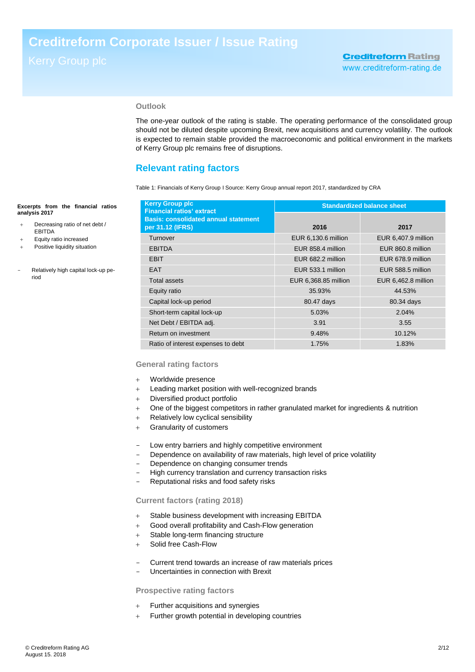## **Outlook**

The one-year outlook of the rating is stable. The operating performance of the consolidated group should not be diluted despite upcoming Brexit, new acquisitions and currency volatility. The outlook is expected to remain stable provided the macroeconomic and political environment in the markets of Kerry Group plc remains free of disruptions.

# <span id="page-1-0"></span>**Relevant rating factors**

Table 1: Financials of Kerry Group I Source: Kerry Group annual report 2017, standardized by CRA

| <b>Kerry Group plc</b><br><b>Financial ratios' extract</b>      | <b>Standardized balance sheet</b> |                     |  |
|-----------------------------------------------------------------|-----------------------------------|---------------------|--|
| <b>Basis: consolidated annual statement</b><br>per 31.12 (IFRS) | 2016                              | 2017                |  |
| Turnover                                                        | EUR 6,130.6 million               | EUR 6,407.9 million |  |
| <b>EBITDA</b>                                                   | EUR 858.4 million                 | EUR 860.8 million   |  |
| <b>EBIT</b>                                                     | EUR 682.2 million                 | EUR 678.9 million   |  |
| <b>EAT</b>                                                      | EUR 533.1 million                 | EUR 588.5 million   |  |
| <b>Total assets</b>                                             | EUR 6,368.85 million              | EUR 6,462.8 million |  |
| Equity ratio                                                    | 35.93%                            | 44.53%              |  |
| Capital lock-up period                                          | 80.47 days                        | 80.34 days          |  |
| Short-term capital lock-up                                      | 5.03%                             | 2.04%               |  |
| Net Debt / EBITDA adj.                                          | 3.91                              | 3.55                |  |
| Return on investment                                            | 9.48%                             | 10.12%              |  |
| Ratio of interest expenses to debt                              | 1.75%                             | 1.83%               |  |

### **General rating factors**

- Worldwide presence
- + Leading market position with well-recognized brands
- Diversified product portfolio
- One of the biggest competitors in rather granulated market for ingredients & nutrition
- + Relatively low cyclical sensibility
- Granularity of customers
- Low entry barriers and highly competitive environment
- Dependence on availability of raw materials, high level of price volatility
- Dependence on changing consumer trends
- High currency translation and currency transaction risks
- Reputational risks and food safety risks

### **Current factors (rating 2018)**

- Stable business development with increasing EBITDA
- Good overall profitability and Cash-Flow generation
- + Stable long-term financing structure
- + Solid free Cash-Flow
- Current trend towards an increase of raw materials prices
- Uncertainties in connection with Brexit

### **Prospective rating factors**

- + Further acquisitions and synergies
- Further growth potential in developing countries

#### **Excerpts from the financial ratios analysis 2017**

- Decreasing ratio of net debt / EBITDA
- Equity ratio increased
- Positive liquidity situation
- Relatively high capital lock-up period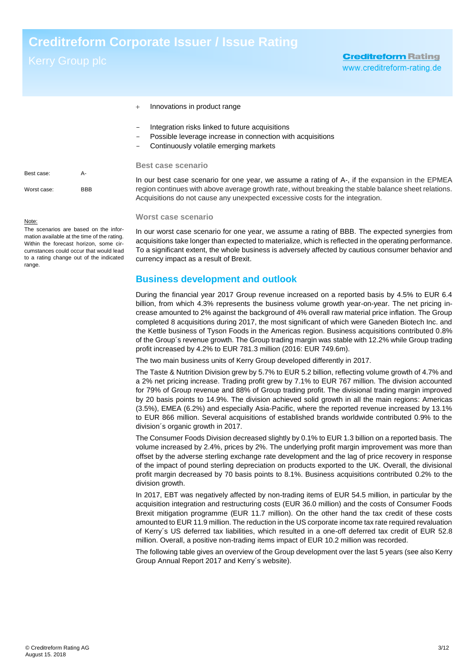- + Innovations in product range
- Integration risks linked to future acquisitions
- Possible leverage increase in connection with acquisitions
- Continuously volatile emerging markets

#### **Best case scenario**

In our best case scenario for one year, we assume a rating of A-, if the expansion in the EPMEA region continues with above average growth rate, without breaking the stable balance sheet relations. Acquisitions do not cause any unexpected excessive costs for the integration.

#### **Worst case scenario**

In our worst case scenario for one year, we assume a rating of BBB. The expected synergies from acquisitions take longer than expected to materialize, which is reflected in the operating performance. To a significant extent, the whole business is adversely affected by cautious consumer behavior and currency impact as a result of Brexit.

# <span id="page-2-0"></span>**Business development and outlook**

During the financial year 2017 Group revenue increased on a reported basis by 4.5% to EUR 6.4 billion, from which 4.3% represents the business volume growth year-on-year. The net pricing increase amounted to 2% against the background of 4% overall raw material price inflation. The Group completed 8 acquisitions during 2017, the most significant of which were Ganeden Biotech Inc. and the Kettle business of Tyson Foods in the Americas region. Business acquisitions contributed 0.8% of the Group´s revenue growth. The Group trading margin was stable with 12.2% while Group trading profit increased by 4.2% to EUR 781.3 million (2016: EUR 749.6m).

The two main business units of Kerry Group developed differently in 2017.

The Taste & Nutrition Division grew by 5.7% to EUR 5.2 billion, reflecting volume growth of 4.7% and a 2% net pricing increase. Trading profit grew by 7.1% to EUR 767 million. The division accounted for 79% of Group revenue and 88% of Group trading profit. The divisional trading margin improved by 20 basis points to 14.9%. The division achieved solid growth in all the main regions: Americas (3.5%), EMEA (6.2%) and especially Asia-Pacific, where the reported revenue increased by 13.1% to EUR 866 million. Several acquisitions of established brands worldwide contributed 0.9% to the division´s organic growth in 2017.

The Consumer Foods Division decreased slightly by 0.1% to EUR 1.3 billion on a reported basis. The volume increased by 2.4%, prices by 2%. The underlying profit margin improvement was more than offset by the adverse sterling exchange rate development and the lag of price recovery in response of the impact of pound sterling depreciation on products exported to the UK. Overall, the divisional profit margin decreased by 70 basis points to 8.1%. Business acquisitions contributed 0.2% to the division growth.

In 2017, EBT was negatively affected by non-trading items of EUR 54.5 million, in particular by the acquisition integration and restructuring costs (EUR 36.0 million) and the costs of Consumer Foods Brexit mitigation programme (EUR 11.7 million). On the other hand the tax credit of these costs amounted to EUR 11.9 million. The reduction in the US corporate income tax rate required revaluation of Kerry´s US deferred tax liabilities, which resulted in a one-off deferred tax credit of EUR 52.8 million. Overall, a positive non-trading items impact of EUR 10.2 million was recorded.

The following table gives an overview of the Group development over the last 5 years (see also Kerry Group Annual Report 2017 and Kerry´s website).

| Best case:  | А-         |
|-------------|------------|
| Worst case: | <b>BBB</b> |

#### Note:

The scenarios are based on the information available at the time of the rating. Within the forecast horizon, some circumstances could occur that would lead to a rating change out of the indicated range.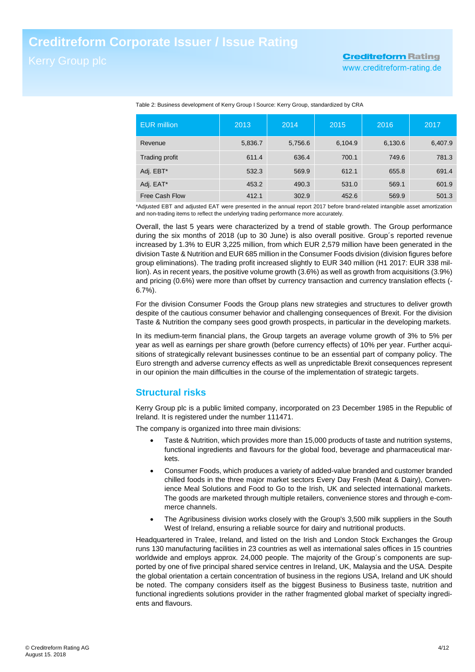# **Creditreform Rating** www.creditreform-rating.de

| <b>EUR</b> million | 2013    | 2014    | 2015    | 2016    | 2017    |
|--------------------|---------|---------|---------|---------|---------|
| Revenue            | 5,836.7 | 5,756.6 | 6,104.9 | 6,130.6 | 6,407.9 |
| Trading profit     | 611.4   | 636.4   | 700.1   | 749.6   | 781.3   |
| Adj. EBT*          | 532.3   | 569.9   | 612.1   | 655.8   | 691.4   |
| Adj. EAT*          | 453.2   | 490.3   | 531.0   | 569.1   | 601.9   |
| Free Cash Flow     | 412.1   | 302.9   | 452.6   | 569.9   | 501.3   |

Table 2: Business development of Kerry Group I Source: Kerry Group, standardized by CRA

\*Adjusted EBT and adjusted EAT were presented in the annual report 2017 before brand-related intangible asset amortization and non-trading items to reflect the underlying trading performance more accurately.

Overall, the last 5 years were characterized by a trend of stable growth. The Group performance during the six months of 2018 (up to 30 June) is also overall positive. Group´s reported revenue increased by 1.3% to EUR 3,225 million, from which EUR 2,579 million have been generated in the division Taste & Nutrition and EUR 685 million in the Consumer Foods division (division figures before group eliminations). The trading profit increased slightly to EUR 340 million (H1 2017: EUR 338 million). As in recent years, the positive volume growth (3.6%) as well as growth from acquisitions (3.9%) and pricing (0.6%) were more than offset by currency transaction and currency translation effects (- 6.7%).

For the division Consumer Foods the Group plans new strategies and structures to deliver growth despite of the cautious consumer behavior and challenging consequences of Brexit. For the division Taste & Nutrition the company sees good growth prospects, in particular in the developing markets.

In its medium-term financial plans, the Group targets an average volume growth of 3% to 5% per year as well as earnings per share growth (before currency effects) of 10% per year. Further acquisitions of strategically relevant businesses continue to be an essential part of company policy. The Euro strength and adverse currency effects as well as unpredictable Brexit consequences represent in our opinion the main difficulties in the course of the implementation of strategic targets.

# <span id="page-3-0"></span>**Structural risks**

Kerry Group plc is a public limited company, incorporated on 23 December 1985 in the Republic of Ireland. It is registered under the number 111471.

The company is organized into three main divisions:

- Taste & Nutrition, which provides more than 15,000 products of taste and nutrition systems, functional ingredients and flavours for the global food, beverage and pharmaceutical markets.
- Consumer Foods, which produces a variety of added-value branded and customer branded chilled foods in the three major market sectors Every Day Fresh (Meat & Dairy), Convenience Meal Solutions and Food to Go to the Irish, UK and selected international markets. The goods are marketed through multiple retailers, convenience stores and through e-commerce channels.
- The Agribusiness division works closely with the Group's 3,500 milk suppliers in the South West of Ireland, ensuring a reliable source for dairy and nutritional products.

Headquartered in Tralee, Ireland, and listed on the Irish and London Stock Exchanges the Group runs 130 manufacturing facilities in 23 countries as well as international sales offices in 15 countries worldwide and employs approx. 24,000 people. The majority of the Group´s components are supported by one of five principal shared service centres in Ireland, UK, Malaysia and the USA. Despite the global orientation a certain concentration of business in the regions USA, Ireland and UK should be noted. The company considers itself as the biggest Business to Business taste, nutrition and functional ingredients solutions provider in the rather fragmented global market of specialty ingredients and flavours.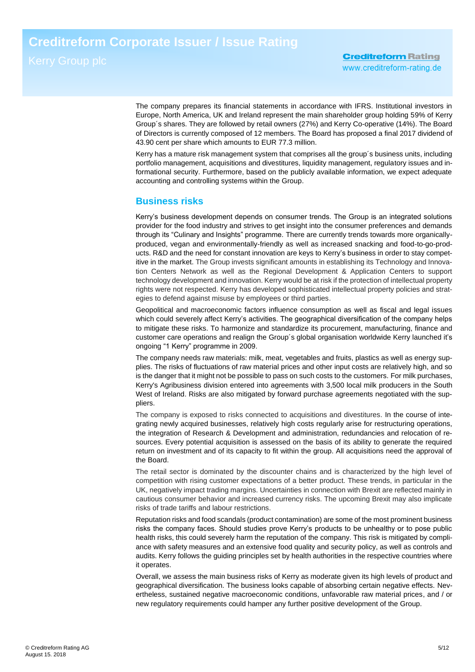The company prepares its financial statements in accordance with IFRS. Institutional investors in Europe, North America, UK and Ireland represent the main shareholder group holding 59% of Kerry Group´s shares. They are followed by retail owners (27%) and Kerry Co-operative (14%). The Board of Directors is currently composed of 12 members. The Board has proposed a final 2017 dividend of 43.90 cent per share which amounts to EUR 77.3 million.

Kerry has a mature risk management system that comprises all the group´s business units, including portfolio management, acquisitions and divestitures, liquidity management, regulatory issues and informational security. Furthermore, based on the publicly available information, we expect adequate accounting and controlling systems within the Group.

# <span id="page-4-0"></span>**Business risks**

Kerry's business development depends on consumer trends. The Group is an integrated solutions provider for the food industry and strives to get insight into the consumer preferences and demands through its "Culinary and Insights" programme. There are currently trends towards more organicallyproduced, vegan and environmentally-friendly as well as increased snacking and food-to-go-products. R&D and the need for constant innovation are keys to Kerry's business in order to stay competitive in the market. The Group invests significant amounts in establishing its Technology and Innovation Centers Network as well as the Regional Development & Application Centers to support technology development and innovation. Kerry would be at risk if the protection of intellectual property rights were not respected. Kerry has developed sophisticated intellectual property policies and strategies to defend against misuse by employees or third parties.

Geopolitical and macroeconomic factors influence consumption as well as fiscal and legal issues which could severely affect Kerry's activities. The geographical diversification of the company helps to mitigate these risks. To harmonize and standardize its procurement, manufacturing, finance and customer care operations and realign the Group´s global organisation worldwide Kerry launched it's ongoing "1 Kerry" programme in 2009.

The company needs raw materials: milk, meat, vegetables and fruits, plastics as well as energy supplies. The risks of fluctuations of raw material prices and other input costs are relatively high, and so is the danger that it might not be possible to pass on such costs to the customers. For milk purchases, Kerry's Agribusiness division entered into agreements with 3,500 local milk producers in the South West of Ireland. Risks are also mitigated by forward purchase agreements negotiated with the suppliers.

The company is exposed to risks connected to acquisitions and divestitures. In the course of integrating newly acquired businesses, relatively high costs regularly arise for restructuring operations, the integration of Research & Development and administration, redundancies and relocation of resources. Every potential acquisition is assessed on the basis of its ability to generate the required return on investment and of its capacity to fit within the group. All acquisitions need the approval of the Board.

The retail sector is dominated by the discounter chains and is characterized by the high level of competition with rising customer expectations of a better product. These trends, in particular in the UK, negatively impact trading margins. Uncertainties in connection with Brexit are reflected mainly in cautious consumer behavior and increased currency risks. The upcoming Brexit may also implicate risks of trade tariffs and labour restrictions.

Reputation risks and food scandals (product contamination) are some of the most prominent business risks the company faces. Should studies prove Kerry's products to be unhealthy or to pose public health risks, this could severely harm the reputation of the company. This risk is mitigated by compliance with safety measures and an extensive food quality and security policy, as well as controls and audits. Kerry follows the guiding principles set by health authorities in the respective countries where it operates.

Overall, we assess the main business risks of Kerry as moderate given its high levels of product and geographical diversification. The business looks capable of absorbing certain negative effects. Nevertheless, sustained negative macroeconomic conditions, unfavorable raw material prices, and / or new regulatory requirements could hamper any further positive development of the Group.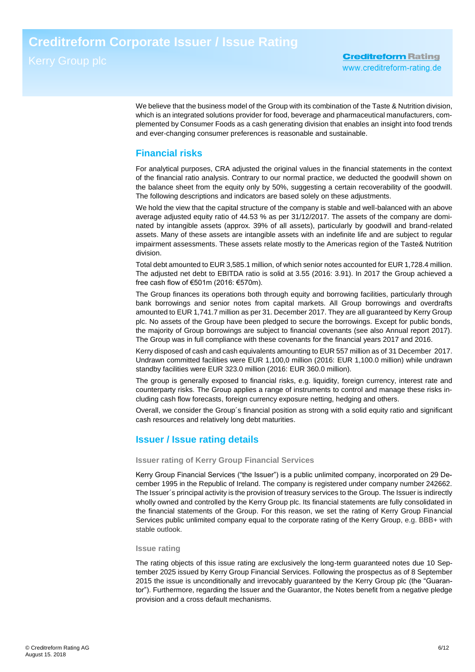We believe that the business model of the Group with its combination of the Taste & Nutrition division. which is an integrated solutions provider for food, beverage and pharmaceutical manufacturers, complemented by Consumer Foods as a cash generating division that enables an insight into food trends and ever-changing consumer preferences is reasonable and sustainable.

# <span id="page-5-0"></span>**Financial risks**

For analytical purposes, CRA adjusted the original values in the financial statements in the context of the financial ratio analysis. Contrary to our normal practice, we deducted the goodwill shown on the balance sheet from the equity only by 50%, suggesting a certain recoverability of the goodwill. The following descriptions and indicators are based solely on these adjustments.

We hold the view that the capital structure of the company is stable and well-balanced with an above average adjusted equity ratio of 44.53 % as per 31/12/2017. The assets of the company are dominated by intangible assets (approx. 39% of all assets), particularly by goodwill and brand-related assets. Many of these assets are intangible assets with an indefinite life and are subject to regular impairment assessments. These assets relate mostly to the Americas region of the Taste& Nutrition division.

Total debt amounted to EUR 3,585.1 million, of which senior notes accounted for EUR 1,728.4 million. The adjusted net debt to EBITDA ratio is solid at 3.55 (2016: 3.91). In 2017 the Group achieved a free cash flow of €501m (2016: €570m).

The Group finances its operations both through equity and borrowing facilities, particularly through bank borrowings and senior notes from capital markets. All Group borrowings and overdrafts amounted to EUR 1,741.7 million as per 31. December 2017. They are all guaranteed by Kerry Group plc. No assets of the Group have been pledged to secure the borrowings. Except for public bonds, the majority of Group borrowings are subject to financial covenants (see also Annual report 2017). The Group was in full compliance with these covenants for the financial years 2017 and 2016.

Kerry disposed of cash and cash equivalents amounting to EUR 557 million as of 31 December 2017. Undrawn committed facilities were EUR 1,100,0 million (2016: EUR 1,100.0 million) while undrawn standby facilities were EUR 323.0 million (2016: EUR 360.0 million).

The group is generally exposed to financial risks, e.g. liquidity, foreign currency, interest rate and counterparty risks. The Group applies a range of instruments to control and manage these risks including cash flow forecasts, foreign currency exposure netting, hedging and others.

Overall, we consider the Group´s financial position as strong with a solid equity ratio and significant cash resources and relatively long debt maturities.

# **Issuer / Issue rating details**

### **Issuer rating of Kerry Group Financial Services**

Kerry Group Financial Services ("the Issuer") is a public unlimited company, incorporated on 29 December 1995 in the Republic of Ireland. The company is registered under company number 242662. The Issuer´s principal activity is the provision of treasury services to the Group. The Issuer is indirectly wholly owned and controlled by the Kerry Group plc. Its financial statements are fully consolidated in the financial statements of the Group. For this reason, we set the rating of Kerry Group Financial Services public unlimited company equal to the corporate rating of the Kerry Group, e.g. BBB+ with stable outlook.

### **Issue rating**

The rating objects of this issue rating are exclusively the long-term guaranteed notes due 10 September 2025 issued by Kerry Group Financial Services. Following the prospectus as of 8 September 2015 the issue is unconditionally and irrevocably guaranteed by the Kerry Group plc (the "Guarantor"). Furthermore, regarding the Issuer and the Guarantor, the Notes benefit from a negative pledge provision and a cross default mechanisms.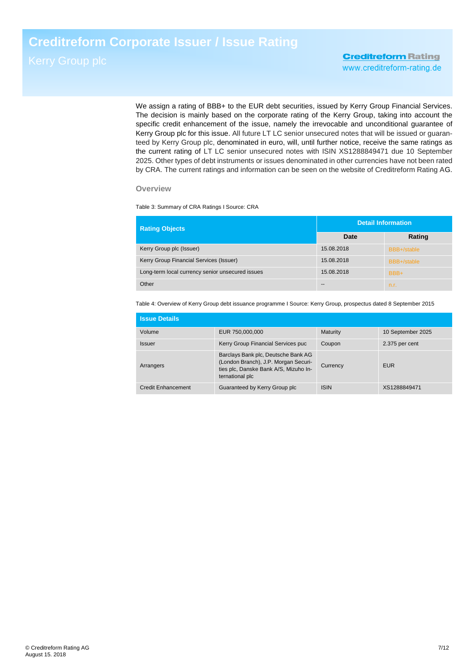We assign a rating of BBB+ to the EUR debt securities, issued by Kerry Group Financial Services. The decision is mainly based on the corporate rating of the Kerry Group, taking into account the specific credit enhancement of the issue, namely the irrevocable and unconditional guarantee of Kerry Group plc for this issue. All future LT LC senior unsecured notes that will be issued or guaranteed by Kerry Group plc, denominated in euro, will, until further notice, receive the same ratings as the current rating of LT LC senior unsecured notes with ISIN XS1288849471 due 10 September 2025. Other types of debt instruments or issues denominated in other currencies have not been rated by CRA. The current ratings and information can be seen on the website of Creditreform Rating AG.

### **Overview**

Table 3: Summary of CRA Ratings I Source: CRA

| <b>Rating Objects</b>                            | <b>Detail Information</b> |             |  |
|--------------------------------------------------|---------------------------|-------------|--|
|                                                  | Date                      | Rating      |  |
| Kerry Group plc (Issuer)                         | 15.08.2018                | BBB+/stable |  |
| Kerry Group Financial Services (Issuer)          | 15.08.2018                | BBB+/stable |  |
| Long-term local currency senior unsecured issues | 15.08.2018                | BBB+        |  |
| Other                                            | $- -$                     | n.r.        |  |

Table 4: Overview of Kerry Group debt issuance programme I Source: Kerry Group, prospectus dated 8 September 2015

| <b>Issue Details</b>      |                                                                                                                                         |             |                   |
|---------------------------|-----------------------------------------------------------------------------------------------------------------------------------------|-------------|-------------------|
| Volume                    | EUR 750,000,000                                                                                                                         | Maturity    | 10 September 2025 |
| <b>Issuer</b>             | Kerry Group Financial Services puc                                                                                                      | Coupon      | 2.375 per cent    |
| Arrangers                 | Barclays Bank plc, Deutsche Bank AG<br>(London Branch), J.P. Morgan Securi-<br>ties plc, Danske Bank A/S, Mizuho In-<br>ternational plc | Currency    | <b>EUR</b>        |
| <b>Credit Enhancement</b> | Guaranteed by Kerry Group plc                                                                                                           | <b>ISIN</b> | XS1288849471      |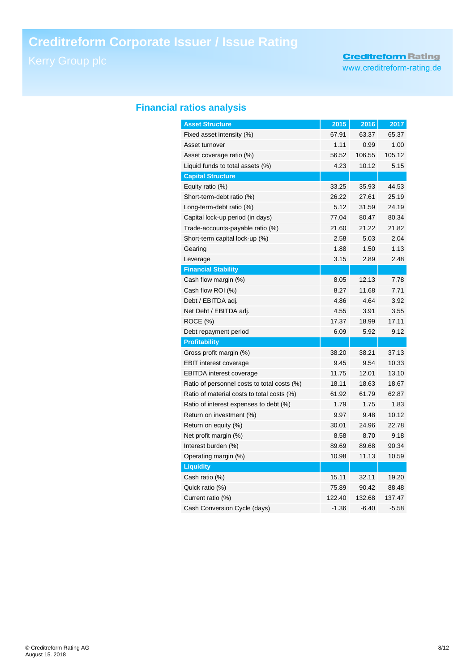# **Creditreform Rating**

www.creditreform-rating.de

# **Financial ratios analysis**

| <b>Asset Structure</b>                      | 2015    | 2016    | 2017    |
|---------------------------------------------|---------|---------|---------|
| Fixed asset intensity (%)                   | 67.91   | 63.37   | 65.37   |
| Asset turnover                              | 1.11    | 0.99    | 1.00    |
| Asset coverage ratio (%)                    | 56.52   | 106.55  | 105.12  |
| Liquid funds to total assets (%)            | 4.23    | 10.12   | 5.15    |
| <b>Capital Structure</b>                    |         |         |         |
| Equity ratio (%)                            | 33.25   | 35.93   | 44.53   |
| Short-term-debt ratio (%)                   | 26.22   | 27.61   | 25.19   |
| Long-term-debt ratio (%)                    | 5.12    | 31.59   | 24.19   |
| Capital lock-up period (in days)            | 77.04   | 80.47   | 80.34   |
| Trade-accounts-payable ratio (%)            | 21.60   | 21.22   | 21.82   |
| Short-term capital lock-up (%)              | 2.58    | 5.03    | 2.04    |
| Gearing                                     | 1.88    | 1.50    | 1.13    |
| Leverage                                    | 3.15    | 2.89    | 2.48    |
| <b>Financial Stability</b>                  |         |         |         |
| Cash flow margin (%)                        | 8.05    | 12.13   | 7.78    |
| Cash flow ROI (%)                           | 8.27    | 11.68   | 7.71    |
| Debt / EBITDA adj.                          | 4.86    | 4.64    | 3.92    |
| Net Debt / EBITDA adj.                      | 4.55    | 3.91    | 3.55    |
| ROCE (%)                                    | 17.37   | 18.99   | 17.11   |
| Debt repayment period                       | 6.09    | 5.92    | 9.12    |
| <b>Profitability</b>                        |         |         |         |
| Gross profit margin (%)                     | 38.20   | 38.21   | 37.13   |
| <b>EBIT interest coverage</b>               | 9.45    | 9.54    | 10.33   |
| <b>EBITDA</b> interest coverage             | 11.75   | 12.01   | 13.10   |
| Ratio of personnel costs to total costs (%) | 18.11   | 18.63   | 18.67   |
| Ratio of material costs to total costs (%)  | 61.92   | 61.79   | 62.87   |
| Ratio of interest expenses to debt (%)      | 1.79    | 1.75    | 1.83    |
| Return on investment (%)                    | 9.97    | 9.48    | 10.12   |
| Return on equity (%)                        | 30.01   | 24.96   | 22.78   |
| Net profit margin (%)                       | 8.58    | 8.70    | 9.18    |
| Interest burden (%)                         | 89.69   | 89.68   | 90.34   |
| Operating margin (%)                        | 10.98   | 11.13   | 10.59   |
| <b>Liquidity</b>                            |         |         |         |
| Cash ratio (%)                              | 15.11   | 32.11   | 19.20   |
| Quick ratio (%)                             | 75.89   | 90.42   | 88.48   |
| Current ratio (%)                           | 122.40  | 132.68  | 137.47  |
| Cash Conversion Cycle (days)                | $-1.36$ | $-6.40$ | $-5.58$ |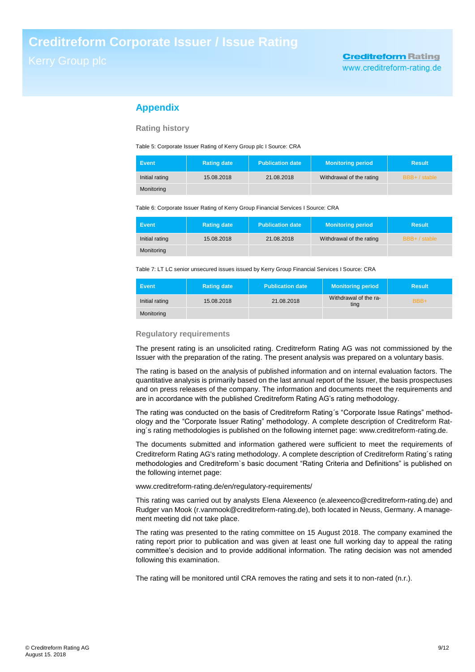# **Appendix**

### **Rating history**

Table 5: Corporate Issuer Rating of Kerry Group plc I Source: CRA

| <b>Event</b>   | <b>Rating date</b> | <b>Publication date</b> | <b>Monitoring period</b> | <b>Result</b> |
|----------------|--------------------|-------------------------|--------------------------|---------------|
| Initial rating | 15.08.2018         | 21.08.2018              | Withdrawal of the rating | BBB+ / stable |
| Monitoring     |                    |                         |                          |               |

Table 6: Corporate Issuer Rating of Kerry Group Financial Services I Source: CRA

| Event.         | <b>Rating date</b> | <b>Publication date</b> | <b>Monitoring period</b> | <b>Result</b> |
|----------------|--------------------|-------------------------|--------------------------|---------------|
| Initial rating | 15.08.2018         | 21.08.2018              | Withdrawal of the rating | BBB+ / stable |
| Monitoring     |                    |                         |                          |               |

Table 7: LT LC senior unsecured issues issued by Kerry Group Financial Services I Source: CRA

| Event          | <b>Rating date</b> | <b>Publication date</b> | <b>Monitoring period</b>      | <b>Result</b> |
|----------------|--------------------|-------------------------|-------------------------------|---------------|
| Initial rating | 15.08.2018         | 21.08.2018              | Withdrawal of the ra-<br>ting | BBB+          |
| Monitoring     |                    |                         |                               |               |

#### **Regulatory requirements**

The present rating is an unsolicited rating. Creditreform Rating AG was not commissioned by the Issuer with the preparation of the rating. The present analysis was prepared on a voluntary basis.

The rating is based on the analysis of published information and on internal evaluation factors. The quantitative analysis is primarily based on the last annual report of the Issuer, the basis prospectuses and on press releases of the company. The information and documents meet the requirements and are in accordance with the published Creditreform Rating AG's rating methodology.

The rating was conducted on the basis of Creditreform Rating´s "Corporate Issue Ratings" methodology and the "Corporate Issuer Rating" methodology. A complete description of Creditreform Rating´s rating methodologies is published on the following internet page: www.creditreform-rating.de.

The documents submitted and information gathered were sufficient to meet the requirements of Creditreform Rating AG's rating methodology. A complete description of Creditreform Rating´s rating methodologies and Creditreform`s basic document "Rating Criteria and Definitions" is published on the following internet page:

[www.creditreform-rating.de/](http://www.creditreform-rating.de/)en/regulatory-requirements/

This rating was carried out by analysts Elena Alexeenco (e.alexeenco@creditreform-rating.de) and Rudger van Mook (r.vanmook@creditreform-rating.de), both located in Neuss, Germany. A management meeting did not take place.

The rating was presented to the rating committee on 15 August 2018. The company examined the rating report prior to publication and was given at least one full working day to appeal the rating committee's decision and to provide additional information. The rating decision was not amended following this examination.

The rating will be monitored until CRA removes the rating and sets it to non-rated (n.r.).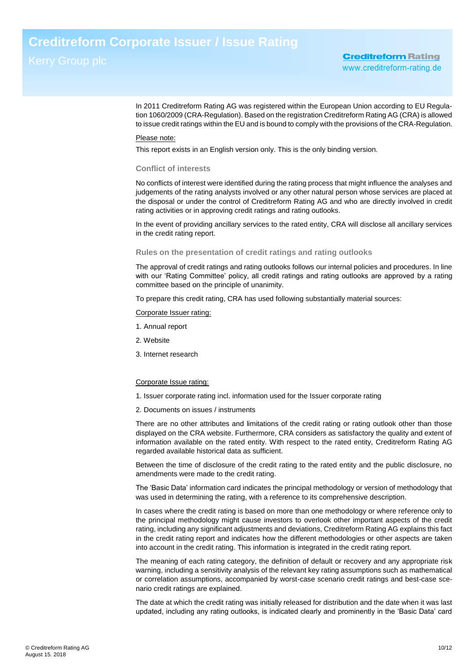In 2011 Creditreform Rating AG was registered within the European Union according to EU Regulation 1060/2009 (CRA-Regulation). Based on the registration Creditreform Rating AG (CRA) is allowed to issue credit ratings within the EU and is bound to comply with the provisions of the CRA-Regulation.

### Please note:

This report exists in an English version only. This is the only binding version.

#### **Conflict of interests**

No conflicts of interest were identified during the rating process that might influence the analyses and judgements of the rating analysts involved or any other natural person whose services are placed at the disposal or under the control of Creditreform Rating AG and who are directly involved in credit rating activities or in approving credit ratings and rating outlooks.

In the event of providing ancillary services to the rated entity, CRA will disclose all ancillary services in the credit rating report.

### **Rules on the presentation of credit ratings and rating outlooks**

The approval of credit ratings and rating outlooks follows our internal policies and procedures. In line with our 'Rating Committee' policy, all credit ratings and rating outlooks are approved by a rating committee based on the principle of unanimity.

To prepare this credit rating, CRA has used following substantially material sources:

### Corporate Issuer rating:

- 1. Annual report
- 2. Website
- 3. Internet research

#### Corporate Issue rating:

- 1. Issuer corporate rating incl. information used for the Issuer corporate rating
- 2. Documents on issues / instruments

There are no other attributes and limitations of the credit rating or rating outlook other than those displayed on the CRA website. Furthermore, CRA considers as satisfactory the quality and extent of information available on the rated entity. With respect to the rated entity, Creditreform Rating AG regarded available historical data as sufficient.

Between the time of disclosure of the credit rating to the rated entity and the public disclosure, no amendments were made to the credit rating.

The 'Basic Data' information card indicates the principal methodology or version of methodology that was used in determining the rating, with a reference to its comprehensive description.

In cases where the credit rating is based on more than one methodology or where reference only to the principal methodology might cause investors to overlook other important aspects of the credit rating, including any significant adjustments and deviations, Creditreform Rating AG explains this fact in the credit rating report and indicates how the different methodologies or other aspects are taken into account in the credit rating. This information is integrated in the credit rating report.

The meaning of each rating category, the definition of default or recovery and any appropriate risk warning, including a sensitivity analysis of the relevant key rating assumptions such as mathematical or correlation assumptions, accompanied by worst-case scenario credit ratings and best-case scenario credit ratings are explained.

The date at which the credit rating was initially released for distribution and the date when it was last updated, including any rating outlooks, is indicated clearly and prominently in the 'Basic Data' card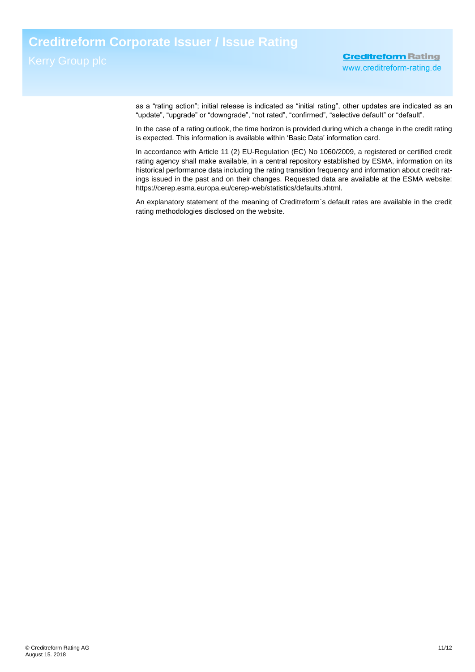as a "rating action"; initial release is indicated as "initial rating", other updates are indicated as an "update", "upgrade" or "downgrade", "not rated", "confirmed", "selective default" or "default".

In the case of a rating outlook, the time horizon is provided during which a change in the credit rating is expected. This information is available within 'Basic Data' information card.

In accordance with Article 11 (2) EU-Regulation (EC) No 1060/2009, a registered or certified credit rating agency shall make available, in a central repository established by ESMA, information on its historical performance data including the rating transition frequency and information about credit ratings issued in the past and on their changes. Requested data are available at the ESMA website: https://cerep.esma.europa.eu/cerep-web/statistics/defaults.xhtml.

An explanatory statement of the meaning of Creditreform`s default rates are available in the credit rating methodologies disclosed on the website.